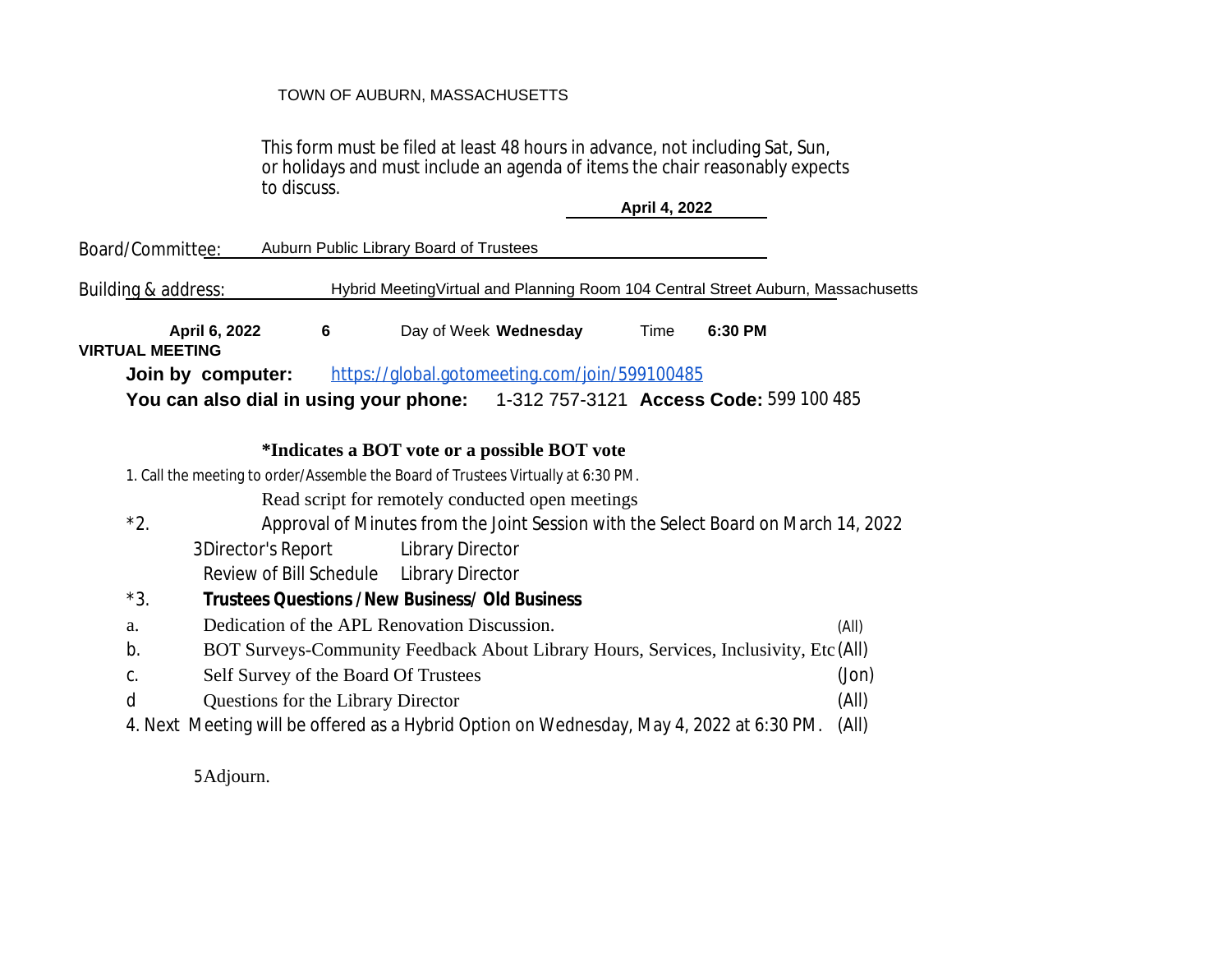## TOWN OF AUBURN, MASSACHUSETTS

This form must be filed at least 48 hours in advance, not including Sat, Sun, or holidays and must include an agenda of items the chair reasonably expects to discuss.

**April 4, 2022**

|                                                                                              | Board/Committee:                                                                            |                                    |   | Auburn Public Library Board of Trustees |                                                                                          |      |         |       |
|----------------------------------------------------------------------------------------------|---------------------------------------------------------------------------------------------|------------------------------------|---|-----------------------------------------|------------------------------------------------------------------------------------------|------|---------|-------|
|                                                                                              | Buildin <u>g &amp; address:</u>                                                             |                                    |   |                                         | Hybrid MeetingVirtual and Planning Room 104 Central Street Auburn, Massachusetts         |      |         |       |
|                                                                                              |                                                                                             | April 6, 2022                      | 6 |                                         | Day of Week Wednesday                                                                    | Time | 6:30 PM |       |
| <b>VIRTUAL MEETING</b><br>https://global.gotomeeting.com/join/599100485<br>Join by computer: |                                                                                             |                                    |   |                                         |                                                                                          |      |         |       |
|                                                                                              |                                                                                             |                                    |   |                                         | You can also dial in using your phone: 1-312 757-3121 Access Code: 599 100 485           |      |         |       |
| *Indicates a BOT vote or a possible BOT vote                                                 |                                                                                             |                                    |   |                                         |                                                                                          |      |         |       |
| 1. Call the meeting to order/Assemble the Board of Trustees Virtually at 6:30 PM.            |                                                                                             |                                    |   |                                         |                                                                                          |      |         |       |
| Read script for remotely conducted open meetings                                             |                                                                                             |                                    |   |                                         |                                                                                          |      |         |       |
|                                                                                              | $*2.$<br>Approval of Minutes from the Joint Session with the Select Board on March 14, 2022 |                                    |   |                                         |                                                                                          |      |         |       |
|                                                                                              |                                                                                             | 3Director's Report                 |   | <b>Library Director</b>                 |                                                                                          |      |         |       |
|                                                                                              |                                                                                             | Review of Bill Schedule            |   | Library Director                        |                                                                                          |      |         |       |
|                                                                                              | $*3.$<br><b>Trustees Questions /New Business/ Old Business</b>                              |                                    |   |                                         |                                                                                          |      |         |       |
|                                                                                              | Dedication of the APL Renovation Discussion.<br>a.                                          |                                    |   |                                         |                                                                                          |      | (AII)   |       |
|                                                                                              | b.<br>BOT Surveys-Community Feedback About Library Hours, Services, Inclusivity, Etc (All)  |                                    |   |                                         |                                                                                          |      |         |       |
|                                                                                              | C.                                                                                          |                                    |   | Self Survey of the Board Of Trustees    |                                                                                          |      |         | (Jon) |
|                                                                                              | d                                                                                           | Questions for the Library Director |   |                                         |                                                                                          |      |         | (All) |
|                                                                                              |                                                                                             |                                    |   |                                         | 4. Next Meeting will be offered as a Hybrid Option on Wednesday, May 4, 2022 at 6:30 PM. |      |         | (All) |
|                                                                                              |                                                                                             |                                    |   |                                         |                                                                                          |      |         |       |

5Adjourn.